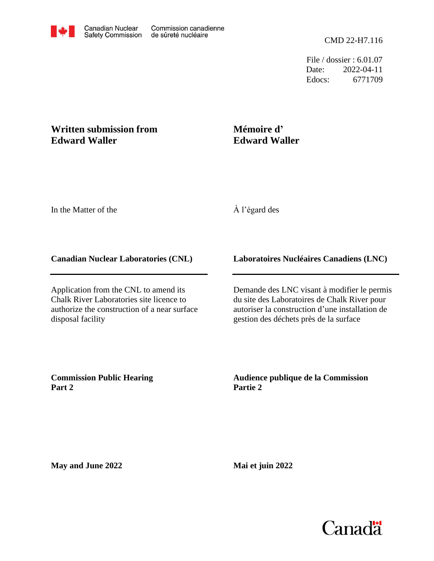File / dossier : 6.01.07 Date: 2022-04-11 Edocs: 6771709

## **Written submission from Edward Waller**

# **Mémoire d' Edward Waller**

In the Matter of the

# À l'égard des

### **Canadian Nuclear Laboratories (CNL)**

Application from the CNL to amend its Chalk River Laboratories site licence to authorize the construction of a near surface disposal facility

## **Laboratoires Nucléaires Canadiens (LNC)**

Demande des LNC visant à modifier le permis du site des Laboratoires de Chalk River pour autoriser la construction d'une installation de gestion des déchets près de la surface

**Commission Public Hearing Part 2**

**Audience publique de la Commission Partie 2**

**May and June 2022**

**Mai et juin 2022**

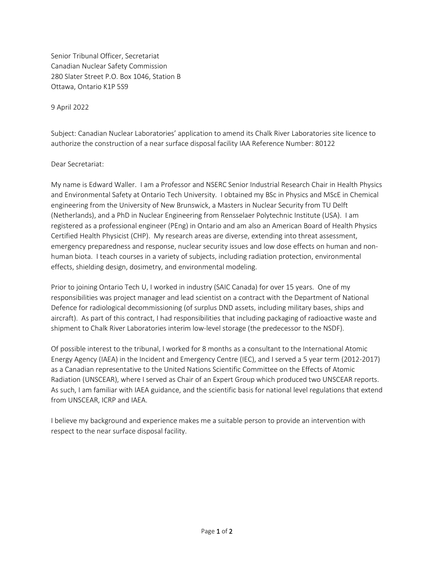Senior Tribunal Officer, Secretariat Canadian Nuclear Safety Commission 280 Slater Street P.O. Box 1046, Station B Ottawa, Ontario K1P 5S9

9 April 2022

Subject: Canadian Nuclear Laboratories' application to amend its Chalk River Laboratories site licence to authorize the construction of a near surface disposal facility IAA Reference Number: 80122

#### Dear Secretariat:

My name is Edward Waller. I am a Professor and NSERC Senior Industrial Research Chair in Health Physics and Environmental Safety at Ontario Tech University. I obtained my BSc in Physics and MScE in Chemical engineering from the University of New Brunswick, a Masters in Nuclear Security from TU Delft (Netherlands), and a PhD in Nuclear Engineering from Rensselaer Polytechnic Institute (USA). I am registered as a professional engineer (PEng) in Ontario and am also an American Board of Health Physics Certified Health Physicist (CHP). My research areas are diverse, extending into threat assessment, emergency preparedness and response, nuclear security issues and low dose effects on human and nonhuman biota. I teach courses in a variety of subjects, including radiation protection, environmental effects, shielding design, dosimetry, and environmental modeling.

Prior to joining Ontario Tech U, I worked in industry (SAIC Canada) for over 15 years. One of my responsibilities was project manager and lead scientist on a contract with the Department of National Defence for radiological decommissioning (of surplus DND assets, including military bases, ships and aircraft). As part of this contract, I had responsibilities that including packaging of radioactive waste and shipment to Chalk River Laboratories interim low-level storage (the predecessor to the NSDF).

Of possible interest to the tribunal, I worked for 8 months as a consultant to the International Atomic Energy Agency (IAEA) in the Incident and Emergency Centre (IEC), and I served a 5 year term (2012-2017) as a Canadian representative to the United Nations Scientific Committee on the Effects of Atomic Radiation (UNSCEAR), where I served as Chair of an Expert Group which produced two UNSCEAR reports. As such, I am familiar with IAEA guidance, and the scientific basis for national level regulations that extend from UNSCEAR, ICRP and IAEA.

I believe my background and experience makes me a suitable person to provide an intervention with respect to the near surface disposal facility.